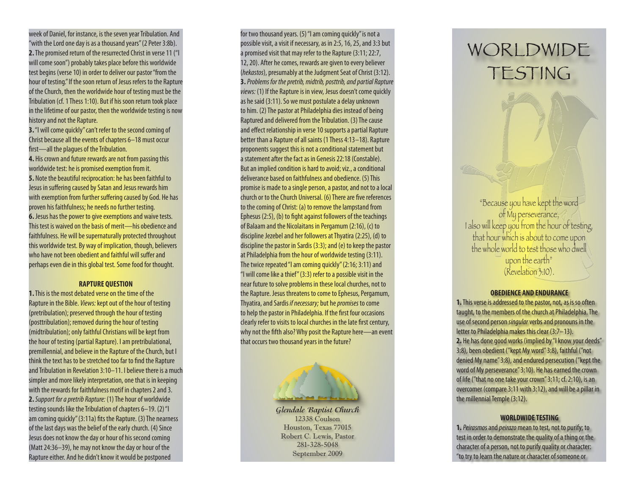week of Daniel, for instance, is the seven year Tribulation. And "with the Lord one day is as a thousand years" (2 Peter 3:8b). **2.** The promised return of the resurrected Christ in verse 11 ("I will come soon") probably takes place before this worldwide test begins (verse 10) in order to deliver our pastor "from the hour of testing." If the soon return of Jesus refers to the Rapture of the Church, then the worldwide hour of testing must be the Tribulation (cf. 1 Thess 1:10). But if his soon return took place in the lifetime of our pastor, then the worldwide testing is now history and not the Rapture.

**3.** "I will come quickly" can't refer to the second coming of Christ because all the events of chapters 6–18 must occur first—all the plagues of the Tribulation.

**4.** His crown and future rewards are not from passing this worldwide test: he is promised exemption from it. **5.** Note the beautiful reciprocation: he has been faithful to Jesus in suffering caused by Satan and Jesus rewards him with exemption from further suffering caused by God. He has proven his faithfulness; he needs no further testing. **6.** Jesus has the power to give exemptions and waive tests. This test is waived on the basis of merit—his obedience and faithfulness. He will be supernaturally protected throughout this worldwide test. By way of implication, though, believers who have not been obedient and faithful will suffer and perhaps even die in this global test. Some food for thought.

## **RAPTURE QUESTION**

**1.** This is the most debated verse on the time of the Rapture in the Bible. *Views:* kept out of the hour of testing (pretribulation); preserved through the hour of testing (posttribulation); removed during the hour of testing (midtribulation); only faithful Christians will be kept from the hour of testing (partial Rapture). I am pretribulational, premillennial, and believe in the Rapture of the Church, but I think the text has to be stretched too far to find the Rapture and Tribulation in Revelation 3:10–11. I believe there is a much simpler and more likely interpretation, one that is in keeping with the rewards for faithfulness motif in chapters 2 and 3. **2.** *Support for a pretrib Rapture:* (1) The hour of worldwide testing sounds like the Tribulation of chapters 6–19. (2) "I am coming quickly" (3:11a) fits the Rapture. (3) The nearness of the last days was the belief of the early church. (4) Since Jesus does not know the day or hour of his second coming (Matt 24:36–39), he may not know the day or hour of the Rapture either. And he didn't know it would be postponed

for two thousand years. (5) "I am coming quickly" is not a possible visit, a visit if necessary, as in 2:5, 16, 25, and 3:3 but a promised visit that may refer to the Rapture (3:11; 22:7, 12, 20). After he comes, rewards are given to every believer (*hekastos*), presumably at the Judgment Seat of Christ (3:12). **3.***Problems for the pretrib, midtrib, posttrib, and partial Rapture views:* (1) If the Rapture is in view, Jesus doesn't come quickly as he said (3:11). So we must postulate a delay unknown to him. (2) The pastor at Philadelphia dies instead of being Raptured and delivered from the Tribulation. (3) The cause and effect relationship in verse 10 supports a partial Rapture better than a Rapture of all saints (1 Thess 4:13–18). Rapture proponents suggest this is not a conditional statement but a statement after the fact as in Genesis 22:18 (Constable). But an implied condition is hard to avoid; viz., a conditional deliverance based on faithfulness and obedience. (5) This promise is made to a single person, a pastor, and not to a local church or to the Church Universal. (6) There are five references to the coming of Christ: (a) to remove the lampstand from Ephesus (2:5), (b) to fight against followers of the teachings of Balaam and the Nicolaitans in Pergamum (2:16), (c) to discipline Jezebel and her followers at Thyatira (2:25), (d) to discipline the pastor in Sardis (3:3); and (e) to keep the pastor at Philadelphia from the hour of worldwide testing (3:11). The twice repeated "I am coming quickly" (2:16; 3:11) and "I will come like a thief" (3:3) refer to a possible visit in the near future to solve problems in these local churches, not to the Rapture. Jesus threatens to come to Ephesus, Pergamum, Thyatira, and Sardis *if necessary;* but he *promises* to come to help the pastor in Philadelphia. If the first four occasions clearly refer to visits to local churches in the late first century, why not the fifth also? Why posit the Rapture here—an event that occurs two thousand years in the future?



**Glendale Baptist Church** 12338 Coulson Houston, Texas 77015 Robert C. Lewis, Pastor 281-328-5048 September 2009

# WORLDWIDE TESTING

"Because you have kept the word of My perseverance, I also will keep you from the hour of testing, that hour which is about to come upon the whole world to test those who dwell upon the earth" (Revelation 3:10).

#### **OBEDIENCE AND ENDURANCE**

**1.** This verse is addressed to the pastor, not, as is so often taught, to the members of the church at Philadelphia. The use of second person *singular* verbs and pronouns in the letter to Philadelphia makes this clear (3:7–13). **2.** He has done good works (implied by "I know your deeds" 3:8), been obedient ("kept My word" 3:8), faithful ("not denied My name" 3:8), and endured persecution ("kept the word of My perseverance" 3:10). He has earned the crown of life ("that no one take your crown" 3:11; cf. 2:10), is an overcomer (compare 3:11 with 3:12), and will be a pillar in the millennial Temple (3:12).

# **WORLDWIDE TESTING**

**1.***Peirasmos* and *peirazo* mean to test, not to purify; to test in order to demonstrate the quality of a thing or the character of a person, not to purify quality or character: "to try to learn the nature or character of someone or